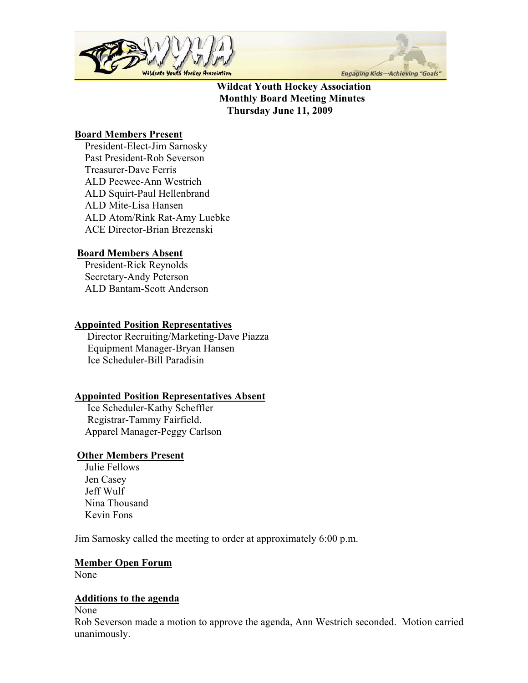



**Wildcat Youth Hockey Association Monthly Board Meeting Minutes Thursday June 11, 2009** 

### **Board Members Present**

 President-Elect-Jim Sarnosky Past President-Rob Severson Treasurer-Dave Ferris ALD Peewee-Ann Westrich ALD Squirt-Paul Hellenbrand ALD Mite-Lisa Hansen ALD Atom/Rink Rat-Amy Luebke ACE Director-Brian Brezenski

# **Board Members Absent**

 President-Rick Reynolds Secretary-Andy Peterson ALD Bantam-Scott Anderson

## **Appointed Position Representatives**

 Director Recruiting/Marketing-Dave Piazza Equipment Manager-Bryan Hansen Ice Scheduler-Bill Paradisin

## **Appointed Position Representatives Absent**

 Ice Scheduler-Kathy Scheffler Registrar-Tammy Fairfield. Apparel Manager-Peggy Carlson

## **Other Members Present**

 Julie Fellows Jen Casey Jeff Wulf Nina Thousand Kevin Fons

Jim Sarnosky called the meeting to order at approximately 6:00 p.m.

## **Member Open Forum**

None

## **Additions to the agenda**

None

Rob Severson made a motion to approve the agenda, Ann Westrich seconded. Motion carried unanimously.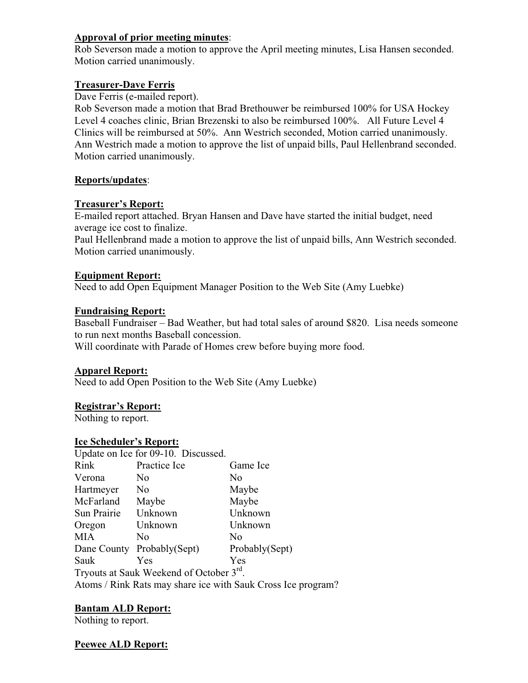### **Approval of prior meeting minutes**:

Rob Severson made a motion to approve the April meeting minutes, Lisa Hansen seconded. Motion carried unanimously.

### **Treasurer-Dave Ferris**

Dave Ferris (e-mailed report).

Rob Severson made a motion that Brad Brethouwer be reimbursed 100% for USA Hockey Level 4 coaches clinic, Brian Brezenski to also be reimbursed 100%. All Future Level 4 Clinics will be reimbursed at 50%. Ann Westrich seconded, Motion carried unanimously. Ann Westrich made a motion to approve the list of unpaid bills, Paul Hellenbrand seconded. Motion carried unanimously.

## **Reports/updates**:

### **Treasurer's Report:**

E-mailed report attached. Bryan Hansen and Dave have started the initial budget, need average ice cost to finalize.

Paul Hellenbrand made a motion to approve the list of unpaid bills, Ann Westrich seconded. Motion carried unanimously.

### **Equipment Report:**

Need to add Open Equipment Manager Position to the Web Site (Amy Luebke)

### **Fundraising Report:**

Baseball Fundraiser – Bad Weather, but had total sales of around \$820. Lisa needs someone to run next months Baseball concession.

Will coordinate with Parade of Homes crew before buying more food.

#### **Apparel Report:**

Need to add Open Position to the Web Site (Amy Luebke)

#### **Registrar's Report:**

Nothing to report.

#### **Ice Scheduler's Report:**

|                                                              | Update on Ice for 09-10. Discussed. |                |
|--------------------------------------------------------------|-------------------------------------|----------------|
| Rink                                                         | Practice Ice                        | Game Ice       |
| Verona                                                       | No                                  | N0             |
| Hartmeyer                                                    | N <sub>0</sub>                      | Maybe          |
| McFarland                                                    | Maybe                               | Maybe          |
| Sun Prairie                                                  | Unknown                             | Unknown        |
| Oregon                                                       | Unknown                             | Unknown        |
| <b>MIA</b>                                                   | No                                  | No             |
|                                                              | Dane County Probably(Sept)          | Probably(Sept) |
| Sauk                                                         | Yes                                 | Yes            |
| Tryouts at Sauk Weekend of October 3rd.                      |                                     |                |
| Atoms / Rink Rats may share ice with Sauk Cross Ice program? |                                     |                |
|                                                              |                                     |                |

## **Bantam ALD Report:**

Nothing to report.

## **Peewee ALD Report:**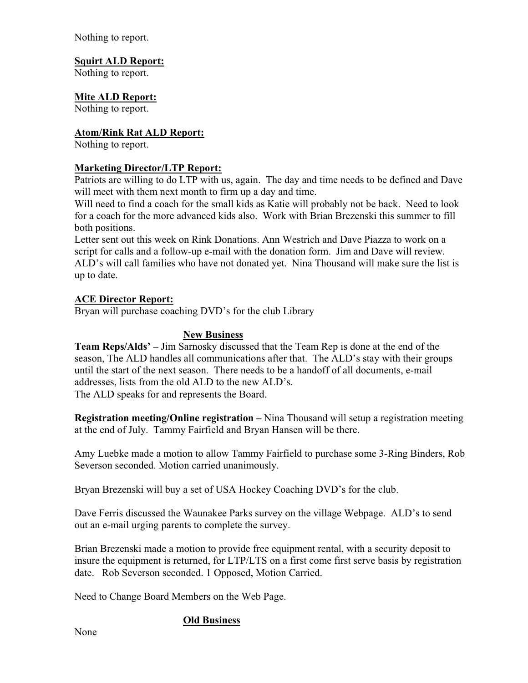Nothing to report.

## **Squirt ALD Report:**

Nothing to report.

# **Mite ALD Report:**

Nothing to report.

### **Atom/Rink Rat ALD Report:**

Nothing to report.

### **Marketing Director/LTP Report:**

Patriots are willing to do LTP with us, again. The day and time needs to be defined and Dave will meet with them next month to firm up a day and time.

Will need to find a coach for the small kids as Katie will probably not be back. Need to look for a coach for the more advanced kids also. Work with Brian Brezenski this summer to fill both positions.

Letter sent out this week on Rink Donations. Ann Westrich and Dave Piazza to work on a script for calls and a follow-up e-mail with the donation form. Jim and Dave will review. ALD's will call families who have not donated yet. Nina Thousand will make sure the list is up to date.

### **ACE Director Report:**

Bryan will purchase coaching DVD's for the club Library

### **New Business**

**Team Reps/Alds' –** Jim Sarnosky discussed that the Team Rep is done at the end of the season, The ALD handles all communications after that. The ALD's stay with their groups until the start of the next season. There needs to be a handoff of all documents, e-mail addresses, lists from the old ALD to the new ALD's. The ALD speaks for and represents the Board.

**Registration meeting/Online registration –** Nina Thousand will setup a registration meeting at the end of July. Tammy Fairfield and Bryan Hansen will be there.

Amy Luebke made a motion to allow Tammy Fairfield to purchase some 3-Ring Binders, Rob Severson seconded. Motion carried unanimously.

Bryan Brezenski will buy a set of USA Hockey Coaching DVD's for the club.

Dave Ferris discussed the Waunakee Parks survey on the village Webpage. ALD's to send out an e-mail urging parents to complete the survey.

Brian Brezenski made a motion to provide free equipment rental, with a security deposit to insure the equipment is returned, for LTP/LTS on a first come first serve basis by registration date. Rob Severson seconded. 1 Opposed, Motion Carried.

Need to Change Board Members on the Web Page.

## **Old Business**

None